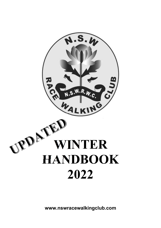

**www.nswracewalkingclub.com**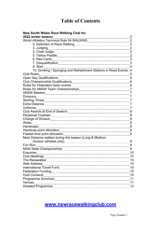# **Table of Contents**

| <b>New South Wales Race Walking Club Inc.</b>                     |  |
|-------------------------------------------------------------------|--|
| 2022 winter season                                                |  |
|                                                                   |  |
|                                                                   |  |
| 3. Judging                                                        |  |
|                                                                   |  |
|                                                                   |  |
|                                                                   |  |
|                                                                   |  |
| 8. Start                                                          |  |
| 10. Drinking / Sponging and Refreshment Stations in Road Events 4 |  |
| <b>Club Rules</b>                                                 |  |
|                                                                   |  |
|                                                                   |  |
|                                                                   |  |
|                                                                   |  |
|                                                                   |  |
|                                                                   |  |
|                                                                   |  |
|                                                                   |  |
|                                                                   |  |
|                                                                   |  |
|                                                                   |  |
|                                                                   |  |
| Water                                                             |  |
|                                                                   |  |
|                                                                   |  |
|                                                                   |  |
| Most Distance walked during the season (Long & Medium             |  |
|                                                                   |  |
| Fun Run                                                           |  |
|                                                                   |  |
| <b>Enquiries</b>                                                  |  |
|                                                                   |  |
|                                                                   |  |
| Web Address                                                       |  |
|                                                                   |  |
|                                                                   |  |
|                                                                   |  |
|                                                                   |  |
| Venues                                                            |  |
|                                                                   |  |

# **www.nswracewalkingclub.com**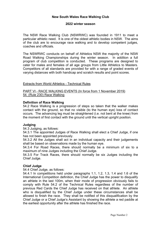## **New South Wales Race Walking Club**

#### **2022 winter season**

The NSW Race Walking Club (NSWRWC) was founded in 1911 to meet a particular athletic need. It is one of the oldest athletic bodies in NSW. The aims of the club are to encourage race walking and to develop competent judges, coaches and officials.

The NSWRWC conducts on behalf of Athletics NSW the majority of the NSW Road Walking Championships during the winter season. In addition a full program of club competition is conducted. These programs are designed to cater for males and females of all age groups from Little Athletics to Masters. Competitors of all standards are provided for with a range of graded events of varying distances with both handicap and scratch results and point scores.

#### Extracts from World Athletics - Technical Rules

PART VI - RACE WALKING EVENTS (In force from 1 November 2019) 54. (Rule 230) Race Walking

## **Definition of Race Walking**

54.2 Race Walking is a progression of steps so taken that the walker makes contact with the ground, so that no visible (to the human eye) loss of contact occurs. The advancing leg must be straightened (i.e. not bent at the knee) from the moment of first contact with the ground until the vertical upright position.

## **Judging**

54.3 Judging, as follows:

54.3.1 The appointed Judges of Race Walking shall elect a Chief Judge, if one has not been appointed previously.

54.3.2 All the Judges shall act in an individual capacity and their judgements shall be based on observations made by the human eye.

54.3.4 For Road Races, there should normally be a minimum of six to a maximum of nine Judges including the Chief Judge.

54.3.5 For Track Races, there should normally be six Judges including the Chief Judge.

## **Chief Judge**

54.4 Chief Judge, as follows:

54.4.1 In competitions held under paragraphs 1.1, 1.2, 1.3, 1.4 and 1.6 of the International Competition definition, the Chief Judge has the power to disqualify an athlete in the last 100m, when their mode of progression obviously fails to comply with Rule 54.2 of the Technical Rules regardless of the number of previous Red Cards the Chief Judge has received on that athlete. An athlete who is disqualified by the Chief Judge under these circumstances shall be allowed to finish the race. They shall be notified of this disqualification by the Chief Judge or a Chief Judge's Assistant by showing the athlete a red paddle at the earliest opportunity after the athlete has finished the race.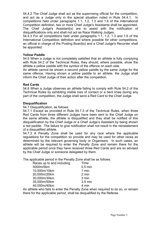54.4.2 The Chief Judge shall act as the supervising official for the competition, and act as a Judge only in the special situation noted in Rule 54.4.1. In competitions held under paragraphs 1.1, 1.2, 1.3 and 1.6 of the International Competition definition, two or more Chief Judge's Assistants shall be appointed. The Chief Judge's Assistant(s) are to assist with the notification of disqualifications only and shall not act as Race Walking Judges.

54.4.3 For all competitions held under paragraphs 1.1, 1.2, 1.3 and 1.6 of the International Competition definition and where possible for other competitions, an official in charge of the Posting Board(s) and a Chief Judge's Recorder shall be appointed.

## **Yellow Paddle**

54.5 When a Judge is not completely satisfied that an athlete is fully complying with Rule 54.2 of the Technical Rules, they should, where possible, show the athlete a yellow paddle with the symbol of the offence on each side.

An athlete cannot be shown a second yellow paddle by the same Judge for the same offence. Having shown a yellow paddle to an athlete, the Judge shall inform the Chief Judge of their action after the competition.

#### **Red Cards**

54.6 When a Judge observes an athlete failing to comply with Rule 54.2 of the Technical Rules by exhibiting visible loss of contact or a bent knee during any part of the competition, the Judge shall send a Red Card to the Chief Judge.

#### **Disqualification**

54.7 Disqualification, as follows:

54.7.1 Except as provided in Rule 54.7.3 of the Technical Rules, when three Red Cards from three different Judges have been sent to the Chief Judge on the same athlete, the athlete is disqualified and they shall be notified of this disqualification by the Chief Judge or a Chief Judge's Assistant by being shown a red paddle. The failure to give notification shall not result in the reinstatement of a disqualified athlete.

54.7.3 A Penalty Zone shall be used for any race where the applicable regulations for the competition so provide and may be used for other races as determined by the relevant governing body or Organisers. In such cases, an athlete will be required to enter the Penalty Zone and remain there for the applicable period once they have received three Red Cards and are so advised by the Chief Judge or someone delegated by them.

The applicable period in the Penalty Zone shall be as follows:

| Races up to and including | Time      |
|---------------------------|-----------|
| 5000m/5km                 | $0.5$ min |
| 10,000m/10km              | 1 min     |
| 20,000m/20km              | 2 min     |
| 30,000m/30km              | 3 min     |
| 35,000m/50km              | 3.5 min   |
| 40,000m/40km              | 4 min     |
|                           |           |

An athlete who fails to enter the Penalty Zone when required to do so, or remain there for the applicable period, shall be disqualified by the Referee.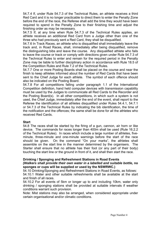54.7.4 If, under Rule 54.7.3 of the Technical Rules, an athlete receives a third Red Card and it is no longer practicable to direct them to enter the Penalty Zone before the end of the race, the Referee shall add the time they would have been required to spend in the Penalty Zone to their finishing time and adjust the finishing order as may be necessary.

54.7.5 If, at any time when Rule 54.7.3 of the Technical Rules applies, an athlete receives an additional Red Card from a Judge other than one of the three who had previously sent a Red Card, they shall be disqualified.

54.7.6 In Track Races, an athlete who is disqualified shall immediately leave the track and, in Road Races, shall, immediately after being disqualified, remove the distinguishing bibs and leave the course. Any disqualified athlete who fails to leave the course or track or comply with directions given under Rule 54.7.3 of the Technical Rules to enter and remain for the required period in the Penalty Zone may be liable to further disciplinary action in accordance with Rule 18.5 of the Competition Rules and Rule 7.2 of the Technical Rules.

54.7.7 One or more Posting Boards shall be placed on the course and near the finish to keep athletes informed about the number of Red Cards that have been sent to the Chief Judge for each athlete. The symbol of each offence should also be indicated on the Posting Board.

54.7.8 For all competitions falling under paragraph 1.1 of the International Competition definition, hand held computer devices with transmission capability must be used by the Judges to communicate all Red Cards to the Recorder and the Posting Board(s). In all other competitions, in which such a system is not used, the Chief Judge, immediately after the end of the event, shall report to the Referee the identification of all athletes disqualified under Rules 54.4.1, 54.7.1 or 54.7.3 of the Technical Rules by indicating the bib identification, the time of the notification and the offences; the same shall be done for all the athletes who received Red Cards.

## **Start**

54.8 The races shall be started by the firing of a gun, cannon, air horn or like device. The commands for races longer than 400m shall be used (Rule 16.2.2 of the Technical Rules). In races which include a large number of athletes, fiveminute, three-minute and one-minute warnings before the start of the race should be given. On the command "On your marks", the athletes shall assemble on the start line in the manner determined by the organisers. The Starter shall ensure that no athlete has their foot (or any part of their body) touching the start line or the ground in front of it, and shall then start the race.

## **Drinking / Sponging and Refreshment Stations in Road Events**

## *(Walkers shall provide their own water in a labelled and suitable bottle,* **no sponges or cups will be supplied or used by the NSWRWC.)**

54.10 Drinking/Sponging and Refreshment Stations in Road Events, as follows: 54.10.1 Water and other suitable refreshments shall be available at the start and finish of all races.

54.10.2 For all events of 5km or longer up to and including 10km, water only drinking / sponging stations shall be provided at suitable intervals if weather conditions warrant such provision.

Note: Mist stations may also be arranged, when considered appropriate under certain organisational and/or climatic conditions.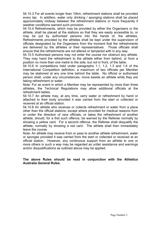54.10.3 For all events longer than 10km, refreshment stations shall be provided every lap. In addition, water only drinking / sponging stations shall be placed approximately midway between the refreshment stations or more frequently if weather conditions warrant such provision.

54.10.4 Refreshments, which may be provided by either the Organisers or the athlete, shall be placed at the stations so that they are easily accessible to, or may be put by authorised persons into the hands of, the athletes. Refreshments provided by the athletes shall be kept under the supervision of officials designated by the Organisers from the moment that the refreshments are delivered by the athletes or their representatives. Those officials shall ensure that the refreshments are not altered or tampered with in any way.

54.10.5 Authorised persons may not enter the course nor obstruct any athlete. They may hand the refreshment to the athlete either from behind, or from a position no more than one metre to the side, but not in front, of the table.

54.10.6 In competitions held under paragraphs 1.1, 1.2, 1.3 and 1.6 of the International Competition definition, a maximum of two officials per Member may be stationed at any one time behind the table. No official or authorised person shall, under any circumstances, move beside an athlete while they are taking refreshment or water.

Note: For an event in which a Member may be represented by more than three athletes, the Technical Regulations may allow additional officials at the refreshment tables.

54.10.7 An athlete may, at any time, carry water or refreshment by hand or attached to their body provided it was carried from the start or collected or received at an official station.

54.10.8 An athlete who receives or collects refreshment or water from a place other than the official stations, except where provided for medical reasons from or under the direction of race officials, or takes the refreshment of another athlete, should, for a first such offence, be warned by the Referee normally by showing a yellow card. For a second offence, the Referee shall disqualify the athlete, normally by showing a red card. The athlete shall then immediately leave the course.

Note: An athlete may receive from or pass to another athlete refreshment, water or sponges provided it was carried from the start or collected or received at an official station. However, any continuous support from an athlete to one or more others in such a way may be regarded as unfair assistance and warnings and/or disqualifications as outlined above may be applied.

## **The above Rules should be read in conjunction with the Athletics Australia General Rules.**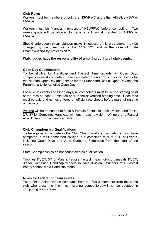## **Club Rules**

Walkers must be members of both the NSWRWC and either Athletics NSW or LANSW.

Walkers must be financial members of NSWRWC before competing. Two weeks grace will be allowed to become a financial member of ANSW or LANSW.

Should unforeseen circumstances make it necessary this programme may be changed by the Executive of the NSWRWC and in the case of State Championships by Athletics NSW.

## **Walk judges have the responsibility of umpiring during all club events.**

## **Open Day Qualifications**

To be eligible for Handicap and Fastest Time awards on Open Days competitors must compete in their nominated division on 2 prior occasions for the Nepean Open Day and 3 times for the Sutherland District Open Day and the Parramatta Little Athletics Open Day.

For all club events and Open days, all competitors must be at the starting point of the race at least 10 minutes prior to the advertised starting time. Race fees must be paid and names entered on official race sheets before marshalling time of the race.

Awards will be presented to Male & Female Fastest in each division, and for 1<sup>st</sup>.  $2<sup>nd</sup>$ ,  $3<sup>rd</sup>$  for Combined Handicap winners in each division. Winners of a Fastest award cannot win a Handicap award.

## **Club Championship Qualifications**

To be eligible to compete in the Club Championships, competitors must have competed in their nominated division in a combined total of 50% of Events, including Open Days and June Canberra Federation from the start of the season.

State Championships do not count towards qualification.

Trophies 1st, 2nd, 3rd for Male & Female Fastest in each division, medals 1st, 2nd, 3<sup>rd</sup> for Combined Handicap winners in each division. Winners of a Fastest trophy cannot win a Handicap medal.

## **Rules for Federation team events**

Team finish points will be computed from the first 3 members from the same club who cross the line - non scoring competitors will not be counted in computing team scores.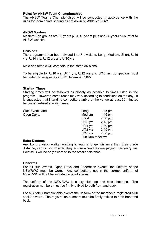### **Rules for ANSW Team Championships**

The ANSW Teams Championships will be conducted in accordance with the rules for team points scoring as set down by Athletics NSW.

#### **ANSW Masters**

Masters Age groups are 35 years plus, 45 years plus and 55 years plus, refer to ANSW website.

#### **Divisions**

The programme has been divided into 7 divisions: Long, Medium, Short, U/16 yrs, U/14 yrs, U/12 yrs and U/10 yrs.

Male and female will compete in the same divisions.

To be eligible for U/16 yrs, U/14 yrs, U/12 yrs and U/10 yrs, competitors must be under those ages as at 31<sup>st</sup> December, 2022.

#### **Starting Times**

Starting times will be followed as closely as possible to times listed in the program. However, some races may vary according to conditions on the day. It is suggested that intending competitors arrive at the venue at least 30 minutes before advertised starting times.

| <b>Club Events and</b> | Long              | $1.45$ pm |
|------------------------|-------------------|-----------|
| Open Days:             | Medium            | $1:45$ pm |
|                        | Short             | $2:00$ pm |
|                        | $U/16$ yrs        | $2:15$ pm |
|                        | $U/14$ yrs        | $2:30$ pm |
|                        | $U/12$ yrs        | $2:45$ pm |
|                        | $U/10$ yrs        | $2:50$ pm |
|                        | Fun Run to follow |           |

#### **Extra Distance**

Any Long division walker wishing to walk a longer distance than their grade distance, can do so provided they advise when they are paying their entry fee. Points/LD will be only awarded to the smaller distance.

#### **Uniforms**

For all club events, Open Days and Federation events, the uniform of the NSWRWC must be worn. Any competitors not in the correct uniform of NSWRWC will not be included in point scores.

The uniform of the NSWRWC is a sky blue top and black bottoms. The registration numbers must be firmly affixed to both front and back.

For all State Championship events the uniform of the member's registered club shall be worn. The registration numbers must be firmly affixed to both front and back.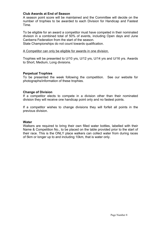## **Club Awards at End of Season**

A season point score will be maintained and the Committee will decide on the number of trophies to be awarded to each Division for Handicap and Fastest Time.

To be eligible for an award a competitor must have competed in their nominated division in a combined total of 50% of events, including Open days and June Canberra Federation from the start of the season.

State Championships do not count towards qualification.

## A Competitor can only be eligible for awards in one division.

Trophies will be presented to U/10 yrs, U/12 yrs, U/14 yrs and U/16 yrs. Awards to Short, Medium, Long divisions.

## **Perpetual Trophies**

To be presented the week following the competition. See our website for photographs/information of these trophies.

## **Change of Division**

If a competitor elects to compete in a division other than their nominated division they will receive one handicap point only and no fastest points.

If a competitor wishes to change divisions they will forfeit all points in the previous division.

## **Water**

Walkers are required to bring their own filled water bottles, labelled with their Name & Competition No., to be placed on the table provided prior to the start of their race. This is the ONLY place walkers can collect water from during races of 5km or longer up to and including 10km, that is water only.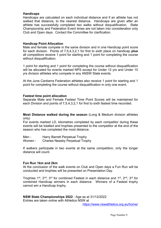## **Handicaps**

Handicaps are calculated on each individual distance and if an athlete has not walked that distance, to the nearest distance. Handicaps are given after an athlete has successfully completed two walks without disqualification. State Championship and Federation Event times are not taken into consideration only Club and Open days. Contact the Committee for clarification.

## **Handicap Point Allocation**

Male and female compete in the same division and in one Handicap point score for each division. Points of 7,5,4,3,2,1 for first to sixth place on handicap **plus** all competitors receive 1 point for starting and 1 point for completing the course without disqualification.

1 point for starting and 1 point for completing the course without disqualification will be allocated for events marked NPS except for Under 12 yrs and Under 10 yrs division athletes who compete in any ANSW State events.

At the June Canberra Federation athletes also receive 1 point for starting and 1 point for completing the course without disqualification in only one event.

## **Fastest time point allocation**

Separate Male and Female Fastest Time Point Scores will be maintained for each Division and points of 7,5,4,3,2,1 for first to sixth fastest time recorded.

**Most Distance walked during the season** (Long & Medium division athletes only)

For events marked LD, kilometres completed by each competitor during these events will be totalled and trophies presented to the competitor at the end of the season who has completed the most distance.

Men - Harry Barrett Perpetual Trophy

Women - Charles Neasby Perpetual Trophy

If walkers participate in two events at the same competition, only the longer distance will count.

## **Fun Run 1km and 2km**

At the conclusion of the walk events on Club and Open days a Fun Run will be conducted and trophies will be presented on Presentation Day.

Trophies 1<sup>st</sup>, 2<sup>nd</sup>, 3<sup>rd</sup> for combined Fastest in each distance and 1<sup>st</sup>, 2<sup>nd</sup>, 3<sup>rd</sup> for combined Handicap winners in each distance. Winners of a Fastest trophy cannot win a Handicap trophy.

**NSW State Championships 2022** - Age as at 31/12/2022 Entries are taken online with Athletics NSW at

https://www.nswathletics.org.au/home/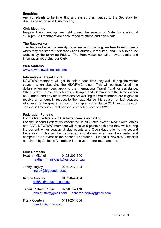## **Enquiries**

Any complaints to be in writing and signed then handed to the Secretary for discussion at the next Club meeting.

#### **Club Meetings**

Regular Club meetings are held during the season on Saturday starting at 12.15pm. All members are encouraged to attend and participate.

#### **The Racewalker**

The Racewalker is the weekly newsheet and one is given free to each family when they register for their race each Saturday, if required, and it is also on the website by the following Friday. The Racewalker contains news, results and information regarding our Club.

#### **Web Address**

www.nswracewalkingclub.com

#### **International Travel Fund**

NSWRWC members will get 10 points each time they walk during the winter season, when observing the NSWRWC rules. This will be transferred into dollars when members apply to the International Travel Fund for assistance. When picked in overseas teams, (Olympic and Commonwealth Games when not funded, and any other overseas AA walking teams) members are eligible to receive an amount in respect to their attendance this season or last season, whichever is the greater amount. Example: - attendance 21 times in previous season, 8 times in current season, competitor receives \$210.

#### **Federation Funding**

For the first Federation in Canberra there is no funding.

For the second Federation conducted in all States except New South Wales and ACT, NSWRWC members will receive 5 points each time they walk during the current winter season at club events and Open days prior to the second Federation. This will be transferred into dollars when members enter and compete in an event at the second Federation. Financial NSWRWC officials appointed by Athletics Australia will receive the maximum amount.

## **Club Contacts**

Heather Mitchell 0402-205-300 heather\_m\_mitchell@yahoo.com.au

Jenny Lingley 0430-272-284 lingley@bigpond.net.au

Kirsten Crocker 0409-044-494 km584@optusnet.com.au

Jennie/Richard Rutter 02 9875-2178 jennierutter@gmail.com richardrutter53@gmail.com

Frank Overton 0419-234-334 foverton@gmail.com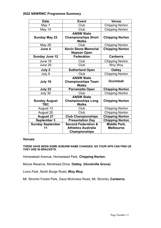## **2022 NSWRWC Programme Summary**

| <b>Date</b>             | <b>Event</b>                                       | Venue                  |
|-------------------------|----------------------------------------------------|------------------------|
| May 7                   | Club                                               | <b>Chipping Norton</b> |
| May 14                  | Club                                               | <b>Chipping Norton</b> |
|                         | <b>ANSW State</b>                                  |                        |
| <b>Sunday May 22</b>    | <b>Championships Short</b>                         | <b>Chipping Norton</b> |
|                         | <b>Walks</b>                                       |                        |
| <b>May 28</b>           | Club                                               | <b>Chipping Norton</b> |
| June 4                  | <b>Kevin Stone Memorial</b>                        | <b>Chipping Norton</b> |
|                         | <b>Nepean Open</b>                                 |                        |
| <b>Sunday June 12</b>   | <b>Federation</b>                                  | <b>Canberra</b>        |
| June 18                 | Club                                               | <b>Chipping Norton</b> |
| June 25                 | Club                                               | Woy Woy                |
| July 2                  | <b>Sutherland Open</b>                             | <b>Oatley</b>          |
| July 9                  | Club                                               | <b>Chipping Norton</b> |
|                         | <b>ANSW State</b>                                  |                        |
| July 16                 | <b>Championships Team</b>                          | Ourimbah               |
|                         | <b>Walks</b>                                       |                        |
| July 23                 | Parramatta Open                                    | <b>Chipping Norton</b> |
| July 30                 | Club                                               | <b>Chipping Norton</b> |
|                         | <b>ANSW State</b>                                  |                        |
| <b>Sunday August</b>    | <b>Championships Long</b>                          | <b>Chipping Norton</b> |
| <b>TBC</b>              | <b>Walks</b>                                       |                        |
| August 13               | Club                                               | <b>Chipping Norton</b> |
| August 20               | Club                                               | <b>Chipping Norton</b> |
| <b>August 27</b>        | <b>Club Championships</b>                          | <b>Chipping Norton</b> |
| <b>September 3</b>      | <b>Presentation Day</b>                            | <b>Chipping Norton</b> |
| <b>Sunday September</b> | <b>Second Federation &amp;</b>                     | Middle Park,           |
|                         |                                                    |                        |
| 11                      | <b>Athletics Australia</b><br><b>Championships</b> | <b>Melbourne</b>       |

#### **Venues**

**THERE HAVE BEEN SOME SUBURB NAME CHANGES. SO YOUR GPS CAN FIND US THEY ARE IN BRACKETS.** 

Homestead Avenue, Homestead Park, **Chipping Norton.** 

Moore Reserve, Morshead Drive, **Oatley. (Hurstville Grove)** 

Lions Park, North Burge Road**, Woy Woy.** 

Mt. Stromlo Forest Park, Dave McInness Road, Mt. Stromlo**, Canberra.**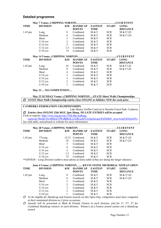#### **Detailed programme**

|             |                 |                |                 |                |              | <b>.CLUB EVENT</b> |
|-------------|-----------------|----------------|-----------------|----------------|--------------|--------------------|
| <b>TIME</b> | <b>DIVISION</b> | KM             | <b>HANDICAP</b> | <b>FASTEST</b> | <b>START</b> | <b>LONG</b>        |
|             |                 |                | <b>POINTS</b>   | <b>TIME</b>    |              | <b>DISTANCE</b>    |
| $1.45$ pm   | Long            | 8              | Combined        | M & F          | <b>SCR</b>   | M & F LD           |
|             | Medium          | 6              | Combined        | M & F          | <b>SCR</b>   | M & F LD           |
|             | Short           | 3              | Combined        | M & F          | <b>SCR</b>   |                    |
|             | $U/16$ yrs      | $\overline{2}$ | Combined        | M & F          | <b>SCR</b>   |                    |
|             | $U/14$ yrs      | 2              | Combined        | M & F          | <b>SCR</b>   |                    |
|             | $U/12$ yrs      | 1.5            | Combined        | M & F          | <b>SCR</b>   |                    |
|             | $U/10$ yrs      | .75            | Combined        | M & F          | <b>SCR</b>   |                    |
|             |                 |                |                 |                |              |                    |
|             |                 |                |                 |                |              | <b>CLUB EVENT</b>  |
| <b>TIME</b> | <b>DIVISION</b> | KM             | HANDICAP        | FASTEST        | <b>START</b> | <b>LONG</b>        |
|             |                 |                | <b>POINTS</b>   | <b>TIME</b>    |              | <b>DISTANCE</b>    |
| $1.45$ pm   | Long            | 10             | Combined        | M & F          | <b>SCR</b>   | M & F LD           |
|             | Medium          | 8              | Combined        | M & F          | <b>SCR</b>   | M & F LD           |
|             | Short           | $\overline{4}$ | Combined        | M & F          | <b>SCR</b>   |                    |
|             | $U/16$ yrs      | 3              | Combined        | M & F          | <b>SCR</b>   |                    |
|             | $U/14$ yrs      | 3              | Combined        | M & F          | <b>SCR</b>   |                    |
|             | $U/12$ yrs      | $\overline{c}$ | Combined        | M & F          | <b>SCR</b>   |                    |

**May 21… NO COMPETITION…** 

**May 22 SUNDAY Venue:..CHIPPING NORTON.…STATE Short Walk Championships**   *STATE Short Walk Championship entries close ONLINE at Athletics NSW the week prior.* 

#### **CANBERRA FEDERATION CHAMPIONSHIPS**

Lake Burley Griffin Carnival at Stromlo Forest Park, Canberra  *Entries close ONLINE 25th MAY, 5pm Sharp, NO LATE ENTRIES will be accepted*  Click to register: http://vrwc.org.au/wp1/55th-lbg-walkingcarnival/?fbclid=IwAR0xir15WoBhK4Ly2wRLqAFUiyQgXd-qoUPsf2S4bY\_zrywAApVEFpiA0Yc See club table, noticeboard or website for more information.

|           |                                                                                                    |                |                                  |                        | <b>.CLUB EVENT</b> |                                |
|-----------|----------------------------------------------------------------------------------------------------|----------------|----------------------------------|------------------------|--------------------|--------------------------------|
| TIME      | <b>DIVISION</b>                                                                                    | KM             | <b>HANDICAP</b><br><b>POINTS</b> | <b>FASTEST</b><br>TIME | <b>START</b>       | <b>LONG</b><br><b>DISTANCE</b> |
| $1.45$ pm | **Long                                                                                             |                | 12/15 Combined                   | M & F                  | <b>SCR</b>         | M & F LD                       |
|           | Medium                                                                                             | 10             | Combined                         | M & F                  | <b>SCR</b>         | M & F LD                       |
|           | Short                                                                                              |                | Combined                         | M & F                  | <b>SCR</b>         |                                |
|           | $U/16$ yrs                                                                                         | 4              | Combined                         | M & F                  | <b>SCR</b>         |                                |
|           | $U/14$ yrs                                                                                         | $\mathfrak{D}$ | Combined                         | M & F                  | <b>SCR</b>         |                                |
|           | $U/12$ yrs                                                                                         | 1.5            | Combined                         | M & F                  | <b>SCR</b>         |                                |
|           | $U/10$ yrs                                                                                         | .75            | Combined                         | M & F                  | <b>SCR</b>         |                                |
|           | **OPTION – Long Division walkers must advise at Entry table if they are doing the longer distance. |                |                                  |                        |                    |                                |

|           | June 4 Venue:CHIPPING NORTON KEVIN STONE MEMORIAL NEPEAN OPEN |    |                 |                |              |                 |
|-----------|---------------------------------------------------------------|----|-----------------|----------------|--------------|-----------------|
| TIME      | <b>DIVISION</b>                                               | KM | <b>HANDICAP</b> | <b>FASTEST</b> | <b>START</b> | <b>LONG</b>     |
|           |                                                               |    | <b>POINTS</b>   | TIME           |              | <b>DISTANCE</b> |
| $1.45$ pm | Long                                                          |    | Combined        | M & F          | <b>SCR</b>   | M & F LD        |
|           | Medium                                                        | 6  | Combined        | M & F          | <b>SCR</b>   | M & F LD        |
|           | Short                                                         |    | Combined        | M & F          | <b>SCR</b>   |                 |
|           | $U/16$ yrs                                                    |    | Combined        | M & F          | <b>SCR</b>   |                 |
|           | $U/14$ yrs                                                    |    | Combined        | M & F          | <b>SCR</b>   |                 |
|           | $U/12$ yrs                                                    |    | Combined        | M & F          | <b>SCR</b>   |                 |
|           | $U/10$ yrs                                                    |    | Combined        | M & F          | <b>SCR</b>   |                 |

 *To be eligible for Handicap and Fastest awards on this Open Day, competitors must have competed in their nominated division on 2 prior occasions.* 

 *Awards will be presented to Male & Female Fastest in each division, and for 1st, 2nd, 3rd for Combined Handicap winners in each division. Winners of a Fastest award cannot win a Handicap award.*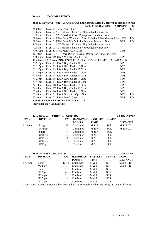#### **June 11 … NO COMPETITION…**

#### **June 12 SUNDAY Venue:..CANBERRA Lake Burley Griffin Carnival at Stromlo Forest Park, FEDERATION CHAMPIONSHIPS**

|                    | 1 alin, i eddenvition channi forwalli b                          |            |     |
|--------------------|------------------------------------------------------------------|------------|-----|
| $*8.00am$          | Event 1. RWA Open 30 km                                          | <b>NPS</b> | LD  |
| 8.00am             | Event 2. ACT Fitness 30 km Non Hcp/Judged contact only           |            |     |
| 8.00am             | Event 3. AACT W&M 30 km Champ Non Handicap event                 |            |     |
| *8.00am            | Event 4. RWA Open Women's 15 km Includes RWA Masters 15 km NPS   |            | LD. |
| $*8.00am$          | Event 5. RWA Open Men's 15 km Includes Masters 15 km             | <b>NPS</b> | LD  |
| 8.00am             | Event 6. ACT Fitness 15 km Non Hcp/Judged contact only           |            |     |
| 9.00am             | Event 7. ACT Fitness 8 km Non Hcp/Judged contact only            |            |     |
| $*10.30$ am        | Event 8. RWA Men's U20 10 km                                     | <b>NPS</b> |     |
| $10.30$ am         | Event 9. ACT Open (Over 19 years) 10 km Non Handicap Event       |            |     |
|                    | *10.30am Event 10. RWA Women's U20 10 km                         | <b>NPS</b> |     |
|                    | 11.45am – 12.15 noon PRESENTATIONS EVENTS 1 -10 & SPECIAL AWARDS |            |     |
|                    | *12.15pm Event 11. RWA Boys Under 10 1km                         | <b>NPS</b> |     |
| $*12.15 \text{pm}$ | Event 12. RWA Girls Under 10 1km                                 | <b>NPS</b> |     |
| $*12.25$ pm        | Event 13. RWA Boys Under 12 2km                                  | <b>NPS</b> |     |
| $*12.45 \text{pm}$ | Event 14. RWA Girls Under 12 2km                                 | <b>NPS</b> |     |
| $*1.05$ pm         | Event 15. RWA Boys Under 14 2km                                  | <b>NPS</b> |     |
| $*1.25$ pm         | Event 16. RWA Girls Under 14 2km                                 | <b>NPS</b> |     |
| $*1.45$ pm         | Event 17. RWA Boys Under 16 3km                                  | <b>NPS</b> |     |
| $*2.10$ pm         | Event 18. RWA Girls Under 16 3km                                 | <b>NPS</b> |     |
| $*2.40$ pm         | Event 19. RWA Boys Under 18 5km                                  | <b>NPS</b> |     |
| $*2.40$ pm         | Event 20. RWA Girls Under 18 5 km                                | <b>NPS</b> |     |
| *3.10pm            | Event 21. RWA Women's Open 5km                                   | <b>NPS</b> | LD. |
| $*3.10$ pm         | Event 22. RWA Men's Open 5km                                     | <b>NPS</b> | LD  |
|                    | 4.00pm PRESENTATIONS EVENTS 11 - 21                              |            |     |
| T 1' '1 1 1 4 Th   |                                                                  |            |     |

Individual and \*Team Events

|             |                 |     |                 |                | CLUB EVENT   |                 |  |
|-------------|-----------------|-----|-----------------|----------------|--------------|-----------------|--|
| <b>TIME</b> | <b>DIVISION</b> | KM. | <b>HANDICAP</b> | <b>FASTEST</b> | <b>START</b> | <b>LONG</b>     |  |
|             |                 |     | <b>POINTS</b>   | TIME           |              | <b>DISTANCE</b> |  |
| $1.45$ pm   | Long            | 10  | Combined        | M & F          | <b>SCR</b>   | M & F LD        |  |
|             | Medium          | 8   | Combined        | M & F          | <b>SCR</b>   | M & F LD        |  |
|             | Short           | 4   | Combined        | M & F          | <b>SCR</b>   |                 |  |
|             | $U/16$ yrs      |     | Combined        | M & F          | <b>SCR</b>   |                 |  |
|             | $U/14$ yrs      |     | Combined        | M & F          | <b>SCR</b>   |                 |  |
|             | $U/12$ yrs      | 1.5 | Combined        | M & F          | <b>SCR</b>   |                 |  |
|             | $U/10$ yrs      |     | Combined        | M & F          | <b>SCR</b>   |                 |  |

| <b>TIME</b> | <b>DIVISION</b> | KM             | <b>HANDICAP</b> | <b>FASTEST</b> | <b>START</b> | <b>LONG</b>     |
|-------------|-----------------|----------------|-----------------|----------------|--------------|-----------------|
|             |                 |                | <b>POINTS</b>   | <b>TIME</b>    |              | <b>DISTANCE</b> |
| $1.45$ pm   | Long            | 12/15          | Combined        | M & F          | <b>SCR</b>   | M & F LD        |
|             | Medium          | 10             | Combined        | M & F          | <b>SCR</b>   | M & F LD        |
|             | Short           |                | Combined        | M & F          | <b>SCR</b>   |                 |
|             | $U/16$ yrs      | $\overline{4}$ | Combined        | M & F          | <b>SCR</b>   |                 |
|             | $U/14$ yrs      | $\mathcal{L}$  | Combined        | M & F          | <b>SCR</b>   |                 |
|             | $U/12$ yrs      | 1.5            | Combined        | M & F          | <b>SCR</b>   |                 |
|             | $U/10$ yrs      | .75            | Combined        | M & F          | <b>SCR</b>   |                 |
|             |                 |                |                 |                |              |                 |

*\*\*OPTION – Long Division walkers must advise at Entry table if they are doing the longer distance.*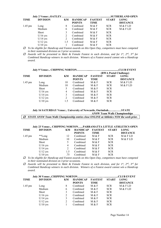| TIME      | <b>DIVISION</b> | KM                          | <b>HANDICAP</b><br><b>POINTS</b> | <b>FASTEST</b><br>TIME | <b>START</b> | <b>LONG</b><br><b>DISTANCE</b> |
|-----------|-----------------|-----------------------------|----------------------------------|------------------------|--------------|--------------------------------|
| $1.45$ pm | Long            | 8                           | Combined                         | M & F                  | <b>SCR</b>   | M & F LD                       |
|           | Medium          | 6                           | Combined                         | M & F                  | <b>SCR</b>   | M & FLD                        |
|           | Short           | 3                           | Combined                         | M & F                  | <b>SCR</b>   |                                |
|           | $U/16$ yrs      | 2                           | Combined                         | M & F                  | <b>SCR</b>   |                                |
|           | $U/14$ yrs      | $\mathcal{D}_{\mathcal{L}}$ | Combined                         | M & F                  | <b>SCR</b>   |                                |
|           | $U/12$ yrs      | 1.5                         | Combined                         | M & F                  | <b>SCR</b>   |                                |
|           | $U/10$ yrs      |                             | Combined                         | M & F                  | <b>SCR</b>   |                                |

 *To be eligible for Handicap and Fastest awards on this Open Day, competitors must have competed in their nominated division on 3 prior occasions.* 

 *Awards will be presented to Male & Female Fastest in each division, and for 1st, 2nd, 3rd for Combined Handicap winners in each division. Winners of a Fastest award cannot win a Handicap award.* 

|  | (DWA Postal Challange) |
|--|------------------------|

|           |                 |     |                 | (IN WALT USTAL CHARGE) |              |                 |  |
|-----------|-----------------|-----|-----------------|------------------------|--------------|-----------------|--|
| TIME      | <b>DIVISION</b> | KM  | <b>HANDICAP</b> | <b>FASTEST</b>         | <b>START</b> | <b>LONG</b>     |  |
|           |                 |     | <b>POINTS</b>   | <b>TIME</b>            |              | <b>DISTANCE</b> |  |
| $1.45$ pm | Long            | 10  | Combined        | M & F                  | <b>SCR</b>   | M & F LD        |  |
|           | Medium          | 10  | Combined        | M & F                  | <b>SCR</b>   | M & F LD        |  |
|           | Short           |     | Combined        | M & F                  | <b>SCR</b>   |                 |  |
|           | $U/16$ yrs      | 4   | Combined        | M & F                  | <b>SCR</b>   |                 |  |
|           | $U/14$ yrs      |     | Combined        | M & F                  | <b>SCR</b>   |                 |  |
|           | $U/12$ yrs      |     | Combined        | M & F                  | <b>SCR</b>   |                 |  |
|           | $U/10$ yrs      | 1.5 | Combined        | M & F                  | <b>SCR</b>   |                 |  |
|           |                 |     |                 |                        |              |                 |  |

**July 16 SATURDAY Venue:.. University of Newcastle, Ourimbah...…....……STATE ANSW Team Walk Championships** 

 *STATE ANSW Team Walk Championship entries close ONLINE at Athletics NSW the week prior.* 

#### **July 23 Venue:.. CHIPPING NORTON…...PARRAMATTA LITTLE ATHLETICS OPEN**

| TIME      | <b>DIVISION</b> | KM             | <b>HANDICAP</b><br><b>POINTS</b> | <b>FASTEST</b><br>TIME | <b>START</b> | <b>LONG</b><br><b>DISTANCE</b> |
|-----------|-----------------|----------------|----------------------------------|------------------------|--------------|--------------------------------|
| $1.45$ pm | **Long          | 12             | Combined                         | M & F                  | <b>SCR</b>   | M & F LD                       |
|           | Medium          | 10             | Combined                         | M & F                  | <b>SCR</b>   | M & F LD                       |
|           | Short           | 5.             | Combined                         | M & F                  | <b>SCR</b>   |                                |
|           | $U/16$ yrs      | 4              | Combined                         | M & F                  | <b>SCR</b>   |                                |
|           | $U/14$ yrs      | $\mathfrak{D}$ | Combined                         | M & F                  | <b>SCR</b>   |                                |
|           | $U/12$ yrs      | 1.5            | Combined                         | M & F                  | <b>SCR</b>   |                                |
|           | $U/10$ yrs      | .75            | Combined                         | M & F                  | <b>SCR</b>   |                                |

 *To be eligible for Handicap and Fastest awards on this Open Day, competitors must have competed in their nominated division on 3 prior occasions.* 

 *Awards will be presented to Male & Female Fastest in each division, and for 1st, 2nd, 3rd for Combined Handicap winners in each division. Winners of a Fastest award cannot win a Handicap award.* 

| TIME      | <b>DIVISION</b> | KM | <b>HANDICAP</b> | FASTEST | START      | <b>LONG</b>     |  |
|-----------|-----------------|----|-----------------|---------|------------|-----------------|--|
|           |                 |    | <b>POINTS</b>   | TIME    |            | <b>DISTANCE</b> |  |
| $1.45$ pm | Long            | 8  | Combined        | M & F   | <b>SCR</b> | M & FLD         |  |
|           | Medium          | 6  | Combined        | M & F   | <b>SCR</b> | M & FLD         |  |
|           | Short           |    | Combined        | M & F   | <b>SCR</b> |                 |  |
|           | $U/16$ yrs      |    | Combined        | M & F   | <b>SCR</b> |                 |  |
|           | $U/14$ yrs      |    | Combined        | M & F   | <b>SCR</b> |                 |  |
|           | $U/12$ yrs      |    | Combined        | M & F   | <b>SCR</b> |                 |  |
|           | $U/10$ yrs      |    | Combined        | M & F   | <b>SCR</b> |                 |  |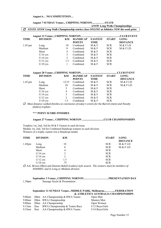#### **August 6… NO COMPETITION…**

|             | August 7 SUNDAY Venue: CHIPPING NORTONSTATE                                                    |                |                 |                |              |                   |  |
|-------------|------------------------------------------------------------------------------------------------|----------------|-----------------|----------------|--------------|-------------------|--|
|             | <b>ANSW Long Walk Championships</b>                                                            |                |                 |                |              |                   |  |
| 0           | STATE ANSW Long Walk Championship entries close ONLINE at Athletics NSW the week prior.        |                |                 |                |              |                   |  |
|             |                                                                                                |                |                 |                |              |                   |  |
|             |                                                                                                |                |                 |                |              | <b>CLUB EVENT</b> |  |
| TIME        | <b>DIVISION</b>                                                                                | KM             | <b>HANDICAP</b> | <b>FASTEST</b> | <b>START</b> | <b>LONG</b>       |  |
|             |                                                                                                |                | <b>POINTS</b>   | <b>TIME</b>    |              | <b>DISTANCE</b>   |  |
| $1.45$ pm   | Long                                                                                           | 10             | Combined        | M & F          | <b>SCR</b>   | M & F LD          |  |
|             | Medium                                                                                         | 8              | Combined        | M & F          | <b>SCR</b>   | M & F LD          |  |
|             | Short                                                                                          | 4              | Combined        | M & F          | <b>SCR</b>   |                   |  |
|             | $U/16$ yrs                                                                                     | 3              | Combined        | M & F          | <b>SCR</b>   |                   |  |
|             | $U/14$ yrs                                                                                     | $\overline{2}$ | Combined        | M & F          | <b>SCR</b>   |                   |  |
|             | $U/12$ yrs                                                                                     | 1.5            | Combined        | M & F          | <b>SCR</b>   |                   |  |
|             | $U/10$ yrs                                                                                     | 1              | Combined        | M & F          | <b>SCR</b>   |                   |  |
|             |                                                                                                |                |                 |                |              |                   |  |
|             | August 20 Venue:CHIPPING NORTON                                                                |                |                 |                |              | CLUB EVENT.       |  |
| <b>TIME</b> | <b>DIVISION</b>                                                                                | KM             | <b>HANDICAP</b> | <b>FASTEST</b> | <b>START</b> | <b>LONG</b>       |  |
|             |                                                                                                |                | <b>POINTS</b>   | <b>TIME</b>    |              | <b>DISTANCE</b>   |  |
| 1.45 pm     | Long                                                                                           | 12/15          | Combined        | M & F          | <b>SCR</b>   | M & F LD          |  |
|             | Medium                                                                                         | 10             | Combined        | M & F          | <b>SCR</b>   | M & F LD          |  |
|             | Short                                                                                          | 5              | Combined        | M & F          | <b>SCR</b>   |                   |  |
|             | $U/16$ yrs                                                                                     | 4              | Combined        | M & F          | <b>SCR</b>   |                   |  |
|             | $U/14$ yrs                                                                                     | $\mathfrak{Z}$ | Combined        | M & F          | <b>SCR</b>   |                   |  |
|             | $U/12$ yrs                                                                                     | $\overline{2}$ | Combined        | M & F          | <b>SCR</b>   |                   |  |
|             | $U/10$ yrs                                                                                     | 1.5            | Combined        | M & F          | <b>SCR</b>   |                   |  |
|             | Most distance walked finishes at conclusion of today's events for the Barrett (men) and Neasby |                |                 |                |              |                   |  |
|             |                                                                                                |                |                 |                |              |                   |  |

 *(ladies) trophies* 

#### \*\*\* **POINT SCORE FINISHES**

#### **August 27 Venue:.. CHIPPING NORTON ................................CLUB CHAMPIONSHIPS**

Trophies 1st, 2nd, 3rd for M & F Fastest in each division Medals 1st, 2nd, 3rd for Combined Handicap winners in each division Winners of a trophy cannot win a Handicap medal.

| <b>DIVISION</b> | KМ  | <b>START</b> | <b>LONG</b>     |
|-----------------|-----|--------------|-----------------|
|                 |     |              | <b>DISTANCE</b> |
| Long            | 10  | <b>SCR</b>   | M & F LD        |
| Medium          | 8   | <b>SCR</b>   | M & F LD        |
| Short           | 4   | <b>SCR</b>   |                 |
| $U/16$ yrs      | 3   | <b>SCR</b>   |                 |
| $U/14$ yrs      | 2   | <b>SCR</b>   |                 |
| $U/12$ yrs      | 1.5 | <b>SCR</b>   |                 |
| $U/10$ yrs      | .75 | <b>SCR</b>   |                 |
|                 |     |              |                 |

 *A.E. Brown (Men) and Deanna Rahill (Ladies) style award. The winners must be members of NSWRWC and in Long or Medium division* 

#### **September 3 Venue:..CHIPPING NORTON……………….………PRESENTATION DAY**  1.30pmSausage Sizzle & Presentation

#### **September 11 SUNDAY Venue:..MIDDLE PARK, Melbourne...…….....FEDERATION & ATHLETICS AUSTRALIA CHAMPIONSHIPS**

|  | 9.00am 20km AA Championship & RWA Teams  | Open Men       |
|--|------------------------------------------|----------------|
|  | 9.00am 20km RWA Championship             | Masters Men    |
|  | 9.00am 20km AA Championship              | Open Women     |
|  | 9.15am 2km RWA Championship & Teams Race | U12 Boys/Girls |
|  | 9.35am 3km AA Championship & RWA Teams   | U14 Boys/Girls |